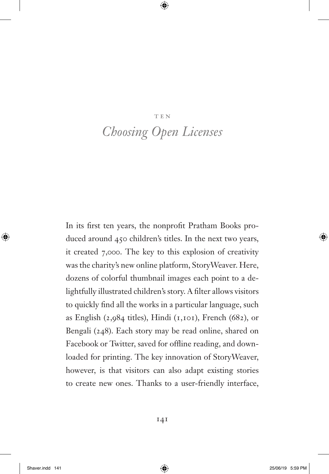#### ten v

# *Choosing Open Licenses*

In its first ten years, the nonprofit Pratham Books produced around 450 children's titles. In the next two years, it created 7,000. The key to this explosion of creativity was the charity's new online platform, StoryWeaver. Here, dozens of colorful thumbnail images each point to a delightfully illustrated children's story. A filter allows visitors to quickly find all the works in a particular language, such as English (2,984 titles), Hindi ( $1,101$ ), French (682), or Bengali (248). Each story may be read online, shared on Facebook or Twitter, saved for offline reading, and downloaded for printing. The key innovation of StoryWeaver, however, is that visitors can also adapt existing stories to create new ones. Thanks to a user-friendly interface,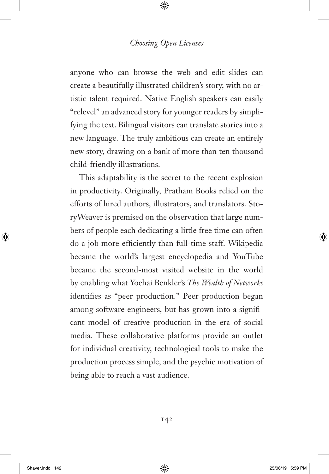anyone who can browse the web and edit slides can create a beautifully illustrated children's story, with no artistic talent required. Native English speakers can easily "relevel" an advanced story for younger readers by simplifying the text. Bilingual visitors can translate stories into a new language. The truly ambitious can create an entirely new story, drawing on a bank of more than ten thousand child-friendly illustrations.

This adaptability is the secret to the recent explosion in productivity. Originally, Pratham Books relied on the efforts of hired authors, illustrators, and translators. StoryWeaver is premised on the observation that large numbers of people each dedicating a little free time can often do a job more efficiently than full-time staff. Wikipedia became the world's largest encyclopedia and YouTube became the second-most visited website in the world by enabling what Yochai Benkler's *The Wealth of Networks* identifies as "peer production." Peer production began among software engineers, but has grown into a significant model of creative production in the era of social media. These collaborative platforms provide an outlet for individual creativity, technological tools to make the production process simple, and the psychic motivation of being able to reach a vast audience.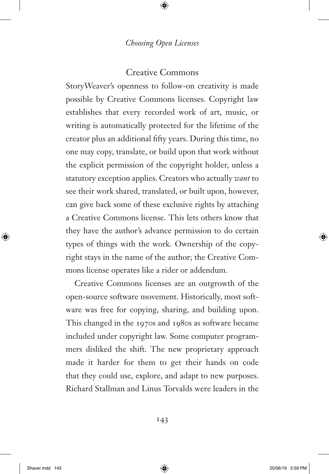#### Creative Commons

StoryWeaver's openness to follow-on creativity is made possible by Creative Commons licenses. Copyright law establishes that every recorded work of art, music, or writing is automatically protected for the lifetime of the creator plus an additional fifty years. During this time, no one may copy, translate, or build upon that work without the explicit permission of the copyright holder, unless a statutory exception applies. Creators who actually *want* to see their work shared, translated, or built upon, however, can give back some of these exclusive rights by attaching a Creative Commons license. This lets others know that they have the author's advance permission to do certain types of things with the work. Ownership of the copyright stays in the name of the author; the Creative Commons license operates like a rider or addendum.

Creative Commons licenses are an outgrowth of the open-source software movement. Historically, most software was free for copying, sharing, and building upon. This changed in the 1970s and 1980s as software became included under copyright law. Some computer programmers disliked the shift. The new proprietary approach made it harder for them to get their hands on code that they could use, explore, and adapt to new purposes. Richard Stallman and Linus Torvalds were leaders in the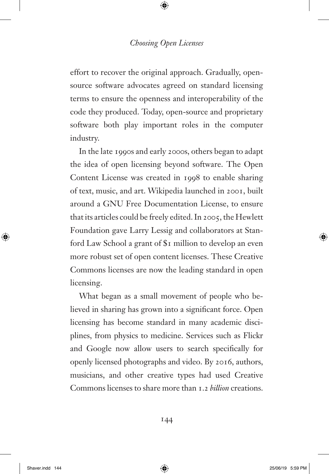effort to recover the original approach. Gradually, opensource software advocates agreed on standard licensing terms to ensure the openness and interoperability of the code they produced. Today, open-source and proprietary software both play important roles in the computer industry.

In the late 1990s and early 2000s, others began to adapt the idea of open licensing beyond software. The Open Content License was created in 1998 to enable sharing of text, music, and art. Wikipedia launched in 2001, built around a GNU Free Documentation License, to ensure that its articles could be freely edited. In 2005, the Hewlett Foundation gave Larry Lessig and collaborators at Stanford Law School a grant of \$1 million to develop an even more robust set of open content licenses. These Creative Commons licenses are now the leading standard in open licensing.

What began as a small movement of people who believed in sharing has grown into a significant force. Open licensing has become standard in many academic disciplines, from physics to medicine. Services such as Flickr and Google now allow users to search specifically for openly licensed photographs and video. By 2016, authors, musicians, and other creative types had used Creative Commons licenses to share more than 1.2 *billion* creations.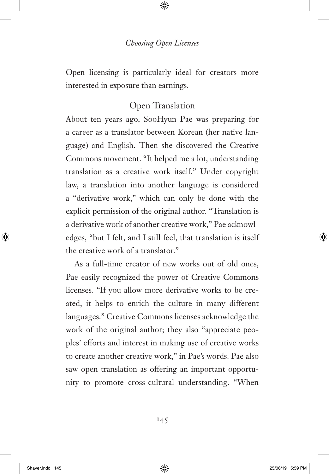Open licensing is particularly ideal for creators more interested in exposure than earnings.

### Open Translation

About ten years ago, SooHyun Pae was preparing for a career as a translator between Korean (her native language) and English. Then she discovered the Creative Commons movement. "It helped me a lot, understanding translation as a creative work itself." Under copyright law, a translation into another language is considered a "derivative work," which can only be done with the explicit permission of the original author. "Translation is a derivative work of another creative work," Pae acknowledges, "but I felt, and I still feel, that translation is itself the creative work of a translator."

As a full-time creator of new works out of old ones, Pae easily recognized the power of Creative Commons licenses. "If you allow more derivative works to be created, it helps to enrich the culture in many different languages." Creative Commons licenses acknowledge the work of the original author; they also "appreciate peoples' efforts and interest in making use of creative works to create another creative work," in Pae's words. Pae also saw open translation as offering an important opportunity to promote cross-cultural understanding. "When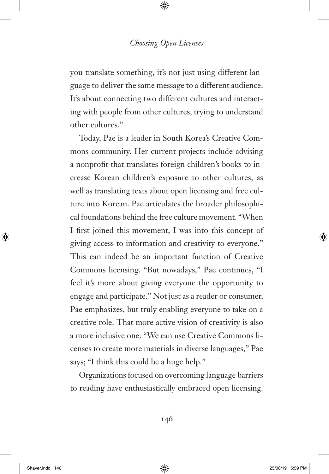you translate something, it's not just using different language to deliver the same message to a different audience. It's about connecting two different cultures and interacting with people from other cultures, trying to understand other cultures."

Today, Pae is a leader in South Korea's Creative Commons community. Her current projects include advising a nonprofit that translates foreign children's books to increase Korean children's exposure to other cultures, as well as translating texts about open licensing and free culture into Korean. Pae articulates the broader philosophical foundations behind the free culture movement. "When I first joined this movement, I was into this concept of giving access to information and creativity to everyone." This can indeed be an important function of Creative Commons licensing. "But nowadays," Pae continues, "I feel it's more about giving everyone the opportunity to engage and participate." Not just as a reader or consumer, Pae emphasizes, but truly enabling everyone to take on a creative role. That more active vision of creativity is also a more inclusive one. "We can use Creative Commons licenses to create more materials in diverse languages," Pae says; "I think this could be a huge help."

Organizations focused on overcoming language barriers to reading have enthusiastically embraced open licensing.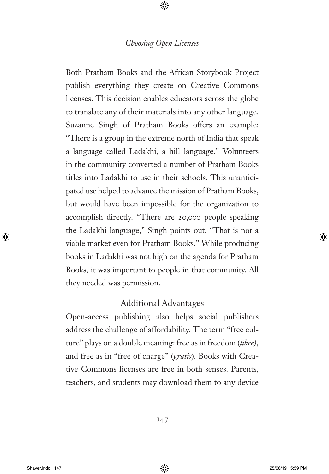Both Pratham Books and the African Storybook Project publish everything they create on Creative Commons licenses. This decision enables educators across the globe to translate any of their materials into any other language. Suzanne Singh of Pratham Books offers an example: "There is a group in the extreme north of India that speak a language called Ladakhi, a hill language." Volunteers in the community converted a number of Pratham Books titles into Ladakhi to use in their schools. This unanticipated use helped to advance the mission of Pratham Books, but would have been impossible for the organization to accomplish directly. "There are 20,000 people speaking the Ladakhi language," Singh points out. "That is not a viable market even for Pratham Books." While producing books in Ladakhi was not high on the agenda for Pratham Books, it was important to people in that community. All they needed was permission.

## Additional Advantages

Open-access publishing also helps social publishers address the challenge of affordability. The term "free culture" plays on a double meaning: free as in freedom (*libre),* and free as in "free of charge" (*gratis*). Books with Creative Commons licenses are free in both senses. Parents, teachers, and students may download them to any device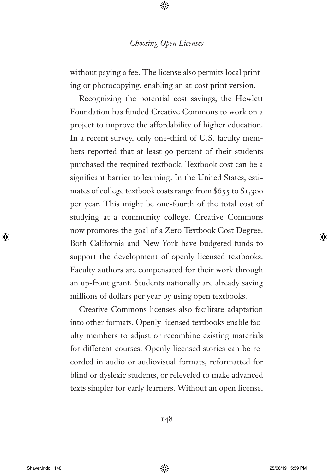without paying a fee. The license also permits local printing or photocopying, enabling an at-cost print version.

Recognizing the potential cost savings, the Hewlett Foundation has funded Creative Commons to work on a project to improve the affordability of higher education. In a recent survey, only one-third of U.S. faculty members reported that at least 90 percent of their students purchased the required textbook. Textbook cost can be a significant barrier to learning. In the United States, estimates of college textbook costs range from \$655 to \$1,300 per year. This might be one-fourth of the total cost of studying at a community college. Creative Commons now promotes the goal of a Zero Textbook Cost Degree. Both California and New York have budgeted funds to support the development of openly licensed textbooks. Faculty authors are compensated for their work through an up-front grant. Students nationally are already saving millions of dollars per year by using open textbooks.

Creative Commons licenses also facilitate adaptation into other formats. Openly licensed textbooks enable faculty members to adjust or recombine existing materials for different courses. Openly licensed stories can be recorded in audio or audiovisual formats, reformatted for blind or dyslexic students, or releveled to make advanced texts simpler for early learners. Without an open license,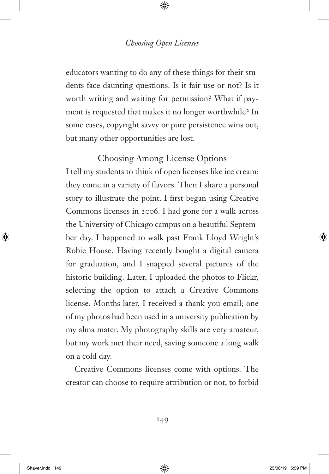educators wanting to do any of these things for their students face daunting questions. Is it fair use or not? Is it worth writing and waiting for permission? What if payment is requested that makes it no longer worthwhile? In some cases, copyright savvy or pure persistence wins out, but many other opportunities are lost.

# Choosing Among License Options

I tell my students to think of open licenses like ice cream: they come in a variety of flavors. Then I share a personal story to illustrate the point. I first began using Creative Commons licenses in 2006. I had gone for a walk across the University of Chicago campus on a beautiful September day. I happened to walk past Frank Lloyd Wright's Robie House. Having recently bought a digital camera for graduation, and I snapped several pictures of the historic building. Later, I uploaded the photos to Flickr, selecting the option to attach a Creative Commons license. Months later, I received a thank-you email; one of my photos had been used in a university publication by my alma mater. My photography skills are very amateur, but my work met their need, saving someone a long walk on a cold day.

Creative Commons licenses come with options. The creator can choose to require attribution or not, to forbid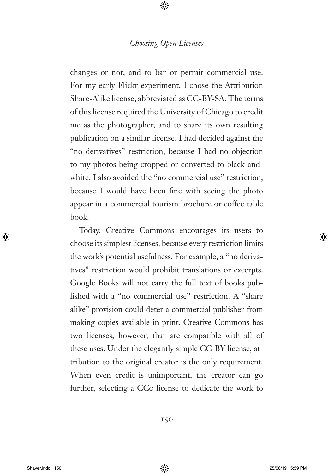changes or not, and to bar or permit commercial use. For my early Flickr experiment, I chose the Attribution Share-Alike license, abbreviated as CC-BY-SA. The terms of this license required the University of Chicago to credit me as the photographer, and to share its own resulting publication on a similar license. I had decided against the "no derivatives" restriction, because I had no objection to my photos being cropped or converted to black-andwhite. I also avoided the "no commercial use" restriction, because I would have been fine with seeing the photo appear in a commercial tourism brochure or coffee table book.

Today, Creative Commons encourages its users to choose its simplest licenses, because every restriction limits the work's potential usefulness. For example, a "no derivatives" restriction would prohibit translations or excerpts. Google Books will not carry the full text of books published with a "no commercial use" restriction. A "share alike" provision could deter a commercial publisher from making copies available in print. Creative Commons has two licenses, however, that are compatible with all of these uses. Under the elegantly simple CC-BY license, attribution to the original creator is the only requirement. When even credit is unimportant, the creator can go further, selecting a CCo license to dedicate the work to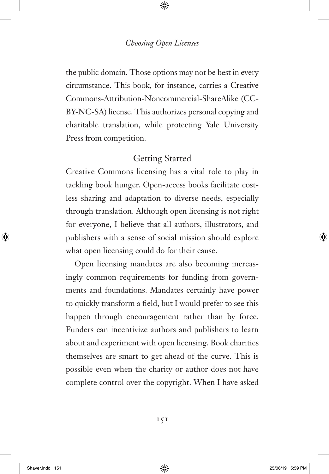the public domain. Those options may not be best in every circumstance. This book, for instance, carries a Creative Commons-Attribution-Noncommercial-ShareAlike (CC-[BY-NC-SA\) license. This authorizes personal copying and](#page--1-0)  charitable translation, while protecting Yale University Press from competition.

# Getting Started

Creative Commons licensing has a vital role to play in tackling book hunger. Open-access books facilitate costless sharing and adaptation to diverse needs, especially through translation. Although open licensing is not right for everyone, I believe that all authors, illustrators, and publishers with a sense of social mission should explore what open licensing could do for their cause.

Open licensing mandates are also becoming increasingly common requirements for funding from governments and foundations. Mandates certainly have power to quickly transform a field, but I would prefer to see this happen through encouragement rather than by force. Funders can incentivize authors and publishers to learn about and experiment with open licensing. Book charities themselves are smart to get ahead of the curve. This is possible even when the charity or author does not have complete control over the copyright. When I have asked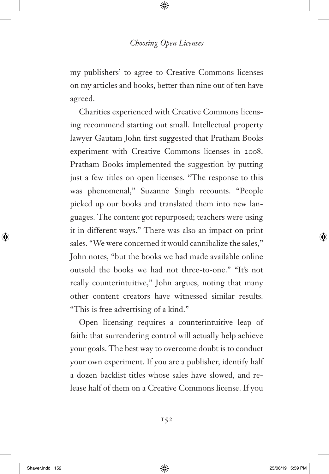my publishers' to agree to Creative Commons licenses on my articles and books, better than nine out of ten have agreed.

Charities experienced with Creative Commons licensing recommend starting out small. Intellectual property lawyer Gautam John first suggested that Pratham Books experiment with Creative Commons licenses in 2008. Pratham Books implemented the suggestion by putting just a few titles on open licenses. "The response to this was phenomenal," Suzanne Singh recounts. "People picked up our books and translated them into new languages. The content got repurposed; teachers were using it in different ways." There was also an impact on print sales. "We were concerned it would cannibalize the sales," John notes, "but the books we had made available online outsold the books we had not three-to-one." "It's not really counterintuitive," John argues, noting that many other content creators have witnessed similar results. "This is free advertising of a kind."

Open licensing requires a counterintuitive leap of faith: that surrendering control will actually help achieve your goals. The best way to overcome doubt is to conduct your own experiment. If you are a publisher, identify half a dozen backlist titles whose sales have slowed, and release half of them on a Creative Commons license. If you